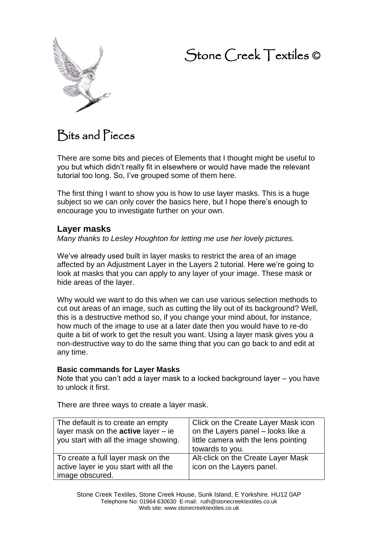# Stone Creek Textiles ©



## Bits and Pieces

There are some bits and pieces of Elements that I thought might be useful to you but which didn't really fit in elsewhere or would have made the relevant tutorial too long. So, I've grouped some of them here.

The first thing I want to show you is how to use layer masks. This is a huge subject so we can only cover the basics here, but I hope there's enough to encourage you to investigate further on your own.

## **Layer masks**

*Many thanks to Lesley Houghton for letting me use her lovely pictures.*

We've already used built in layer masks to restrict the area of an image affected by an Adjustment Layer in the Layers 2 tutorial. Here we're going to look at masks that you can apply to any layer of your image. These mask or hide areas of the layer.

Why would we want to do this when we can use various selection methods to cut out areas of an image, such as cutting the lily out of its background? Well, this is a destructive method so, if you change your mind about, for instance, how much of the image to use at a later date then you would have to re-do quite a bit of work to get the result you want. Using a layer mask gives you a non-destructive way to do the same thing that you can go back to and edit at any time.

#### **Basic commands for Layer Masks**

Note that you can't add a layer mask to a locked background layer – you have to unlock it first.

There are three ways to create a layer mask.

| The default is to create an empty            | Click on the Create Layer Mask icon  |
|----------------------------------------------|--------------------------------------|
| layer mask on the <b>active</b> layer $-$ ie | on the Layers panel - looks like a   |
| you start with all the image showing.        | little camera with the lens pointing |
|                                              | towards to you.                      |
| To create a full layer mask on the           | Alt-click on the Create Layer Mask   |
| active layer ie you start with all the       | icon on the Layers panel.            |
| image obscured.                              |                                      |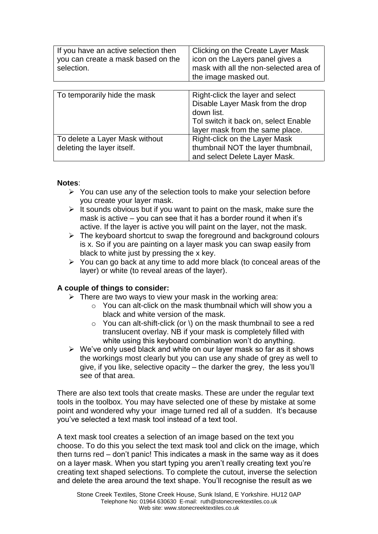| If you have an active selection then<br>you can create a mask based on the<br>selection. | Clicking on the Create Layer Mask<br>icon on the Layers panel gives a<br>mask with all the non-selected area of<br>the image masked out. |  |
|------------------------------------------------------------------------------------------|------------------------------------------------------------------------------------------------------------------------------------------|--|
|                                                                                          |                                                                                                                                          |  |
| To temporarily hide the mask                                                             | Right-click the layer and select                                                                                                         |  |
|                                                                                          | Disable Layer Mask from the drop                                                                                                         |  |
|                                                                                          | down list.                                                                                                                               |  |
|                                                                                          | Tol switch it back on, select Enable                                                                                                     |  |
|                                                                                          | layer mask from the same place.                                                                                                          |  |
| To delete a Layer Mask without                                                           | Right-click on the Layer Mask                                                                                                            |  |
| deleting the layer itself.                                                               | thumbnail NOT the layer thumbnail,                                                                                                       |  |
|                                                                                          | and select Delete Layer Mask.                                                                                                            |  |

#### **Notes**:

- ➢ You can use any of the selection tools to make your selection before you create your layer mask.
- $\triangleright$  It sounds obvious but if you want to paint on the mask, make sure the mask is active – you can see that it has a border round it when it's active. If the layer is active you will paint on the layer, not the mask.
- $\triangleright$  The keyboard shortcut to swap the foreground and background colours is x. So if you are painting on a layer mask you can swap easily from black to white just by pressing the x key.
- ➢ You can go back at any time to add more black (to conceal areas of the layer) or white (to reveal areas of the layer).

#### **A couple of things to consider:**

- $\triangleright$  There are two ways to view your mask in the working area:
	- o You can alt-click on the mask thumbnail which will show you a black and white version of the mask.
	- o You can alt-shift-click (or \) on the mask thumbnail to see a red translucent overlay. NB if your mask is completely filled with white using this keyboard combination won't do anything.
- ➢ We've only used black and white on our layer mask so far as it shows the workings most clearly but you can use any shade of grey as well to give, if you like, selective opacity – the darker the grey, the less you'll see of that area.

There are also text tools that create masks. These are under the regular text tools in the toolbox. You may have selected one of these by mistake at some point and wondered why your image turned red all of a sudden. It's because you've selected a text mask tool instead of a text tool.

A text mask tool creates a selection of an image based on the text you choose. To do this you select the text mask tool and click on the image, which then turns red – don't panic! This indicates a mask in the same way as it does on a layer mask. When you start typing you aren't really creating text you're creating text shaped selections. To complete the cutout, inverse the selection and delete the area around the text shape. You'll recognise the result as we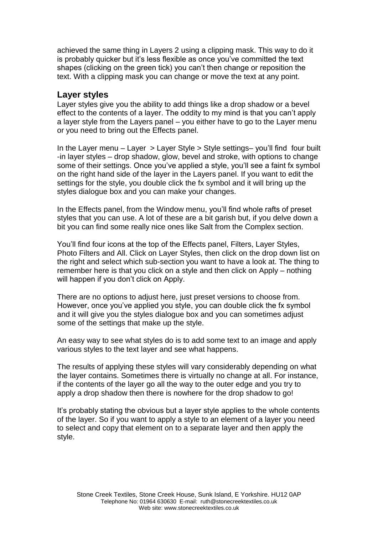achieved the same thing in Layers 2 using a clipping mask. This way to do it is probably quicker but it's less flexible as once you've committed the text shapes (clicking on the green tick) you can't then change or reposition the text. With a clipping mask you can change or move the text at any point.

### **Layer styles**

Layer styles give you the ability to add things like a drop shadow or a bevel effect to the contents of a layer. The oddity to my mind is that you can't apply a layer style from the Layers panel – you either have to go to the Layer menu or you need to bring out the Effects panel.

In the Layer menu – Layer > Layer Style > Style settings– you'll find four built -in layer styles – drop shadow, glow, bevel and stroke, with options to change some of their settings. Once you've applied a style, you'll see a faint fx symbol on the right hand side of the layer in the Layers panel. If you want to edit the settings for the style, you double click the fx symbol and it will bring up the styles dialogue box and you can make your changes.

In the Effects panel, from the Window menu, you'll find whole rafts of preset styles that you can use. A lot of these are a bit garish but, if you delve down a bit you can find some really nice ones like Salt from the Complex section.

You'll find four icons at the top of the Effects panel, Filters, Layer Styles, Photo Filters and All. Click on Layer Styles, then click on the drop down list on the right and select which sub-section you want to have a look at. The thing to remember here is that you click on a style and then click on Apply – nothing will happen if you don't click on Apply.

There are no options to adjust here, just preset versions to choose from. However, once you've applied you style, you can double click the fx symbol and it will give you the styles dialogue box and you can sometimes adjust some of the settings that make up the style.

An easy way to see what styles do is to add some text to an image and apply various styles to the text layer and see what happens.

The results of applying these styles will vary considerably depending on what the layer contains. Sometimes there is virtually no change at all. For instance, if the contents of the layer go all the way to the outer edge and you try to apply a drop shadow then there is nowhere for the drop shadow to go!

It's probably stating the obvious but a layer style applies to the whole contents of the layer. So if you want to apply a style to an element of a layer you need to select and copy that element on to a separate layer and then apply the style.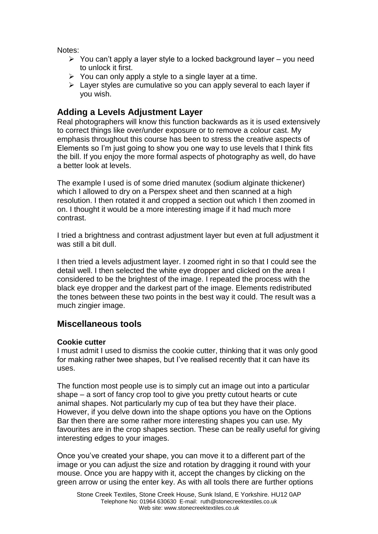Notes:

- $\triangleright$  You can't apply a layer style to a locked background layer you need to unlock it first.
- $\triangleright$  You can only apply a style to a single layer at a time.
- $\triangleright$  Layer styles are cumulative so you can apply several to each layer if you wish.

## **Adding a Levels Adjustment Layer**

Real photographers will know this function backwards as it is used extensively to correct things like over/under exposure or to remove a colour cast. My emphasis throughout this course has been to stress the creative aspects of Elements so I'm just going to show you one way to use levels that I think fits the bill. If you enjoy the more formal aspects of photography as well, do have a better look at levels.

The example I used is of some dried manutex (sodium alginate thickener) which I allowed to dry on a Perspex sheet and then scanned at a high resolution. I then rotated it and cropped a section out which I then zoomed in on. I thought it would be a more interesting image if it had much more contrast.

I tried a brightness and contrast adjustment layer but even at full adjustment it was still a bit dull.

I then tried a levels adjustment layer. I zoomed right in so that I could see the detail well. I then selected the white eye dropper and clicked on the area I considered to be the brightest of the image. I repeated the process with the black eye dropper and the darkest part of the image. Elements redistributed the tones between these two points in the best way it could. The result was a much zingier image.

## **Miscellaneous tools**

## **Cookie cutter**

I must admit I used to dismiss the cookie cutter, thinking that it was only good for making rather twee shapes, but I've realised recently that it can have its uses.

The function most people use is to simply cut an image out into a particular shape – a sort of fancy crop tool to give you pretty cutout hearts or cute animal shapes. Not particularly my cup of tea but they have their place. However, if you delve down into the shape options you have on the Options Bar then there are some rather more interesting shapes you can use. My favourites are in the crop shapes section. These can be really useful for giving interesting edges to your images.

Once you've created your shape, you can move it to a different part of the image or you can adjust the size and rotation by dragging it round with your mouse. Once you are happy with it, accept the changes by clicking on the green arrow or using the enter key. As with all tools there are further options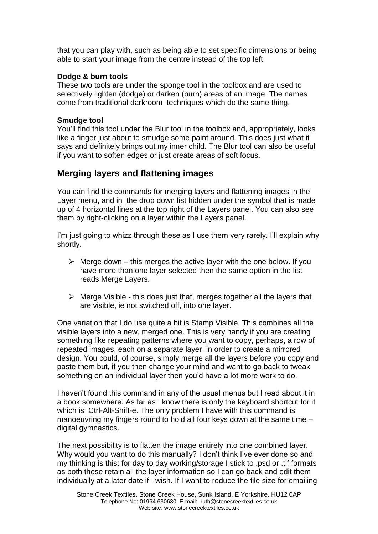that you can play with, such as being able to set specific dimensions or being able to start your image from the centre instead of the top left.

## **Dodge & burn tools**

These two tools are under the sponge tool in the toolbox and are used to selectively lighten (dodge) or darken (burn) areas of an image. The names come from traditional darkroom techniques which do the same thing.

#### **Smudge tool**

You'll find this tool under the Blur tool in the toolbox and, appropriately, looks like a finger just about to smudge some paint around. This does just what it says and definitely brings out my inner child. The Blur tool can also be useful if you want to soften edges or just create areas of soft focus.

## **Merging layers and flattening images**

You can find the commands for merging layers and flattening images in the Layer menu, and in the drop down list hidden under the symbol that is made up of 4 horizontal lines at the top right of the Layers panel. You can also see them by right-clicking on a layer within the Layers panel.

I'm just going to whizz through these as I use them very rarely. I'll explain why shortly.

- $\triangleright$  Merge down this merges the active layer with the one below. If you have more than one layer selected then the same option in the list reads Merge Layers.
- $\triangleright$  Merge Visible this does just that, merges together all the layers that are visible, ie not switched off, into one layer.

One variation that I do use quite a bit is Stamp Visible. This combines all the visible layers into a new, merged one. This is very handy if you are creating something like repeating patterns where you want to copy, perhaps, a row of repeated images, each on a separate layer, in order to create a mirrored design. You could, of course, simply merge all the layers before you copy and paste them but, if you then change your mind and want to go back to tweak something on an individual layer then you'd have a lot more work to do.

I haven't found this command in any of the usual menus but I read about it in a book somewhere. As far as I know there is only the keyboard shortcut for it which is Ctrl-Alt-Shift-e. The only problem I have with this command is manoeuvring my fingers round to hold all four keys down at the same time – digital gymnastics.

The next possibility is to flatten the image entirely into one combined layer. Why would you want to do this manually? I don't think I've ever done so and my thinking is this: for day to day working/storage I stick to .psd or .tif formats as both these retain all the layer information so I can go back and edit them individually at a later date if I wish. If I want to reduce the file size for emailing